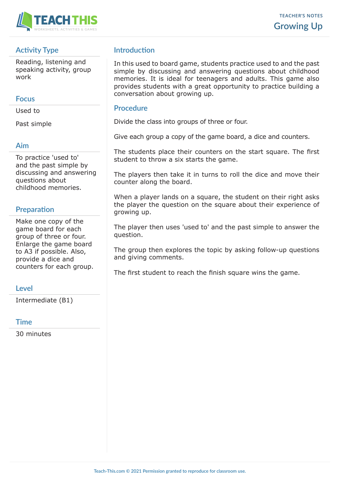

## **Activity Type**

Reading, listening and speaking activity, group work

#### **Focus**

Used to

Past simple

### **Aim**

To practice 'used to' and the past simple by discussing and answering questions about childhood memories.

# **Preparation**

Make one copy of the game board for each group of three or four. Enlarge the game board to A3 if possible. Also, provide a dice and counters for each group.

### **Level**

Intermediate (B1)

#### **Time**

30 minutes

## **Introduction**

In this used to board game, students practice used to and the past simple by discussing and answering questions about childhood memories. It is ideal for teenagers and adults. This game also provides students with a great opportunity to practice building a conversation about growing up.

### **Procedure**

Divide the class into groups of three or four.

Give each group a copy of the game board, a dice and counters.

The students place their counters on the start square. The first student to throw a six starts the game.

The players then take it in turns to roll the dice and move their counter along the board.

When a player lands on a square, the student on their right asks the player the question on the square about their experience of growing up.

The player then uses 'used to' and the past simple to answer the question.

The group then explores the topic by asking follow-up questions and giving comments.

The first student to reach the finish square wins the game.